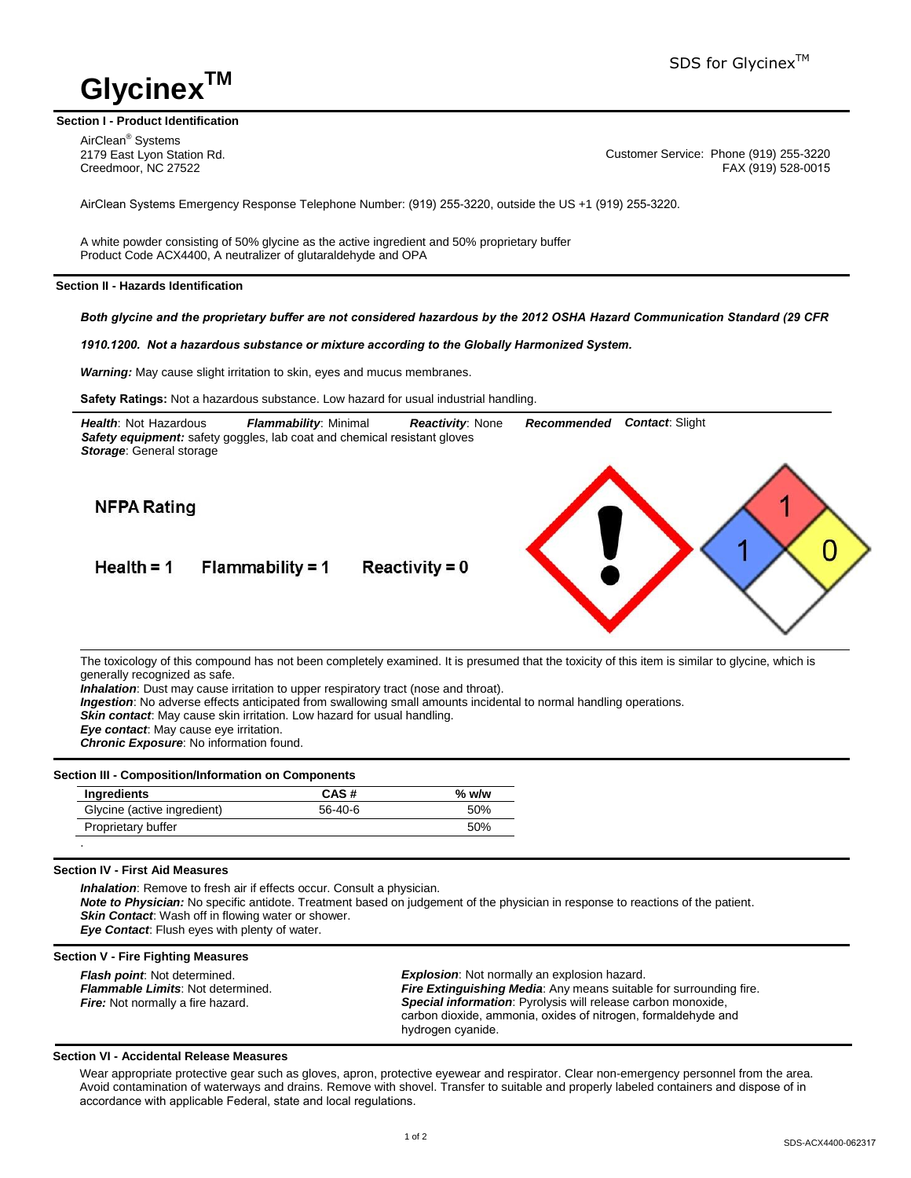# **Glycinex**

# **Section I - Product Identification**

AirClean® Systems 2179 East Lyon Station Rd. Creedmoor, NC 27522

Customer Service: Phone (919) 255-3220 FAX (919) 528-0015

AirClean Systems Emergency Response Telephone Number: (919) 255-3220, outside the US +1 (919) 255-3220.

A white powder consisting of 50% glycine as the active ingredient and 50% proprietary buffer Product Code ACX4400, A neutralizer of glutaraldehyde and OPA

# **Section II - Hazards Identification**

*Both glycine and the proprietary buffer are not considered hazardous by the 2012 OSHA Hazard Communication Standard (29 CFR* 

*1910.1200. Not a hazardous substance or mixture according to the Globally Harmonized System.* 

*Warning:* May cause slight irritation to skin, eyes and mucus membranes.

**Safety Ratings:** Not a hazardous substance. Low hazard for usual industrial handling.



The toxicology of this compound has not been completely examined. It is presumed that the toxicity of this item is similar to glycine, which is generally recognized as safe.

*Inhalation*: Dust may cause irritation to upper respiratory tract (nose and throat).

*Ingestion*: No adverse effects anticipated from swallowing small amounts incidental to normal handling operations.

**Skin contact:** May cause skin irritation. Low hazard for usual handling.

*Eye contact*: May cause eye irritation.

*Chronic Exposure*: No information found.

# **Section III - Composition/Information on Components**

| Ingredients                 | CAS#      | $%$ w/w |
|-----------------------------|-----------|---------|
| Glycine (active ingredient) | $56-40-6$ | 50%     |
| Proprietary buffer          |           | 50%     |

# **Section IV - First Aid Measures**

**Inhalation:** Remove to fresh air if effects occur. Consult a physician. *Note to Physician:* No specific antidote. Treatment based on judgement of the physician in response to reactions of the patient. *Skin Contact*: Wash off in flowing water or shower. *Eye Contact*: Flush eyes with plenty of water.

# **Section V - Fire Fighting Measures**

*Flash point*: Not determined. *Flammable Limits*: Not determined. **Fire:** Not normally a fire hazard.

*Explosion*: Not normally an explosion hazard. *Fire Extinguishing Media*: Any means suitable for surrounding fire. *Special information*: Pyrolysis will release carbon monoxide, carbon dioxide, ammonia, oxides of nitrogen, formaldehyde and hydrogen cyanide.

# **Section VI - Accidental Release Measures**

Wear appropriate protective gear such as gloves, apron, protective eyewear and respirator. Clear non-emergency personnel from the area. Avoid contamination of waterways and drains. Remove with shovel. Transfer to suitable and properly labeled containers and dispose of in accordance with applicable Federal, state and local regulations.